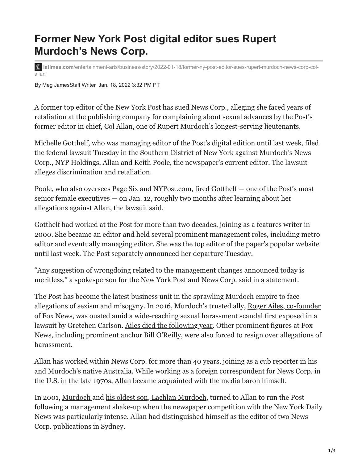## **Former New York Post digital editor sues Rupert Murdoch's News Corp.**

**latimes.com**[/entertainment-arts/business/story/2022-01-18/former-ny-post-editor-sues-rupert-murdoch-news-corp-col](https://www.latimes.com/entertainment-arts/business/story/2022-01-18/former-ny-post-editor-sues-rupert-murdoch-news-corp-col-allan)allan

By Meg JamesStaff Writer Jan. 18, 2022 3:32 PM PT

A former top editor of the New York Post has sued News Corp., alleging she faced years of retaliation at the publishing company for complaining about sexual advances by the Post's former editor in chief, Col Allan, one of Rupert Murdoch's longest-serving lieutenants.

Michelle Gotthelf, who was managing editor of the Post's digital edition until last week, filed the federal lawsuit Tuesday in the Southern District of New York against Murdoch's News Corp., NYP Holdings, Allan and Keith Poole, the newspaper's current editor. The lawsuit alleges discrimination and retaliation.

Poole, who also oversees Page Six and NYPost.com, fired Gotthelf — one of the Post's most senior female executives — on Jan. 12, roughly two months after learning about her allegations against Allan, the lawsuit said.

Gotthelf had worked at the Post for more than two decades, joining as a features writer in 2000. She became an editor and held several prominent management roles, including metro editor and eventually managing editor. She was the top editor of the paper's popular website until last week. The Post separately announced her departure Tuesday.

"Any suggestion of wrongdoing related to the management changes announced today is meritless," a spokesperson for the New York Post and News Corp. said in a statement.

The Post has become the latest business unit in the sprawling Murdoch empire to face [allegations of sexism and misogyny. In 2016, Murdoch's trusted ally, Roger Ailes, co-founder](https://www.latimes.com/entertainment/envelope/cotown/la-et-ct-ailes-leaves-20160721-snap-story.html) of Fox News, was ousted amid a wide-reaching sexual harassment scandal first exposed in a lawsuit by Gretchen Carlson. [Ailes died the following year.](https://www.latimes.com/business/hollywood/la-me-roger-ailes-dies-20170518-story.html) Other prominent figures at Fox News, including prominent anchor Bill O'Reilly, were also forced to resign over allegations of harassment.

Allan has worked within News Corp. for more than 40 years, joining as a cub reporter in his and Murdoch's native Australia. While working as a foreign correspondent for News Corp. in the U.S. in the late 1970s, Allan became acquainted with the media baron himself.

In 2001, [Murdoch](https://www.latimes.com/entertainment/envelope/cotown/la-et-ct-rupert-murdoch-and-family-2015061-photogallery.html) and [his oldest son, Lachlan Murdoch](https://www.latimes.com/business/hollywood/la-fi-ct-lachlan-murdoch-fox-20180516-story.html), turned to Allan to run the Post following a management shake-up when the newspaper competition with the New York Daily News was particularly intense. Allan had distinguished himself as the editor of two News Corp. publications in Sydney.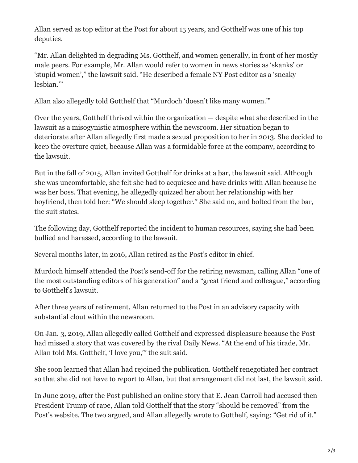Allan served as top editor at the Post for about 15 years, and Gotthelf was one of his top deputies.

"Mr. Allan delighted in degrading Ms. Gotthelf, and women generally, in front of her mostly male peers. For example, Mr. Allan would refer to women in news stories as 'skanks' or 'stupid women'," the lawsuit said. "He described a female NY Post editor as a 'sneaky lesbian.'"

Allan also allegedly told Gotthelf that "Murdoch 'doesn't like many women.'"

Over the years, Gotthelf thrived within the organization — despite what she described in the lawsuit as a misogynistic atmosphere within the newsroom. Her situation began to deteriorate after Allan allegedly first made a sexual proposition to her in 2013. She decided to keep the overture quiet, because Allan was a formidable force at the company, according to the lawsuit.

But in the fall of 2015, Allan invited Gotthelf for drinks at a bar, the lawsuit said. Although she was uncomfortable, she felt she had to acquiesce and have drinks with Allan because he was her boss. That evening, he allegedly quizzed her about her relationship with her boyfriend, then told her: "We should sleep together." She said no, and bolted from the bar, the suit states.

The following day, Gotthelf reported the incident to human resources, saying she had been bullied and harassed, according to the lawsuit.

Several months later, in 2016, Allan retired as the Post's editor in chief.

Murdoch himself attended the Post's send-off for the retiring newsman, calling Allan "one of the most outstanding editors of his generation" and a "great friend and colleague," according to Gotthelf's lawsuit.

After three years of retirement, Allan returned to the Post in an advisory capacity with substantial clout within the newsroom.

On Jan. 3, 2019, Allan allegedly called Gotthelf and expressed displeasure because the Post had missed a story that was covered by the rival Daily News. "At the end of his tirade, Mr. Allan told Ms. Gotthelf, 'I love you,'" the suit said.

She soon learned that Allan had rejoined the publication. Gotthelf renegotiated her contract so that she did not have to report to Allan, but that arrangement did not last, the lawsuit said.

In June 2019, after the Post published an online story that E. Jean Carroll had accused then-President Trump of rape, Allan told Gotthelf that the story "should be removed" from the Post's website. The two argued, and Allan allegedly wrote to Gotthelf, saying: "Get rid of it."